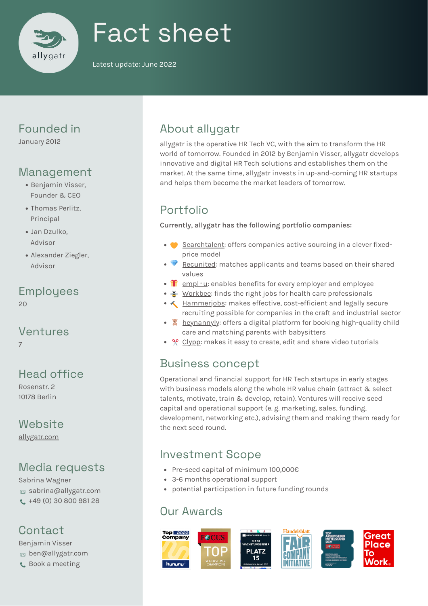

# Fact sheet

Latest update: June 2022

## Founded in

January 2012

# Management

- Benjamin Visser, Founder & CEO
- Thomas Perlitz, Principal
- Jan Dzulko, Advisor
- Alexander Ziegler, Advisor

# Employees

20

#### Ventures 7

# Head office

Rosenstr. 2 10178 Berlin

# **Website**

[allygatr.com](https://allygatr.com/)

# Media requests

Sabrina Wagner sabrina@allygatr.com +49 (0) 30 800 981 28

# **Contact**

Benjamin Visser  $\otimes$  ben@allygatr.com **C** Book a [meeting](https://calendly.com/ben_allygatr/)

# About allygatr

allygatr is the operative HR Tech VC, with the aim to transform the HR world of tomorrow. Founded in 2012 by Benjamin Visser, allygatr develops innovative and digital HR Tech solutions and establishes them on the market. At the same time, allygatr invests in up-and-coming HR startups and helps them become the market leaders of tomorrow.

# Portfolio

**Currently, allygatr has the following portfolio companies:**

- [Searchtalent:](https://searchtalent.de/) offers companies active sourcing in a clever fixedprice model
- $\blacktriangleright\blacktriangleright$  [Recunited:](https://recunited.com/) matches applicants and teams based on their shared values
- $\bullet$   $\bullet$  [empl](https://www.emplu.de/) $\cdot$ u: enables benefits for every employer and employee
- $\geq$  [Workbee:](https://workbee.de/) finds the right jobs for health care professionals
- $\leftarrow$  [Hammerjobs:](https://hammerjobs.de/) makes effective, cost-efficient and legally secure recruiting possible for companies in the craft and industrial sector
- <sup>2</sup> [heynannyly](https://www.heynannyly.de/): offers a digital platform for booking high-quality child care and matching parents with babysitters
- $\sqrt{2}$  [Clypp:](https://getclypp.com/en/) makes it easy to create, edit and share video tutorials

# Business concept

Operational and financial support for HR Tech startups in early stages with business models along the whole HR value chain (attract & select talents, motivate, train & develop, retain). Ventures will receive seed capital and operational support (e. g. marketing, sales, funding, development, networking etc.), advising them and making them ready for the next seed round.

# Investment Scope

- Pre-seed capital of minimum 100,000€
- 3-6 months operational support
- potential participation in future funding rounds

# Our Awards